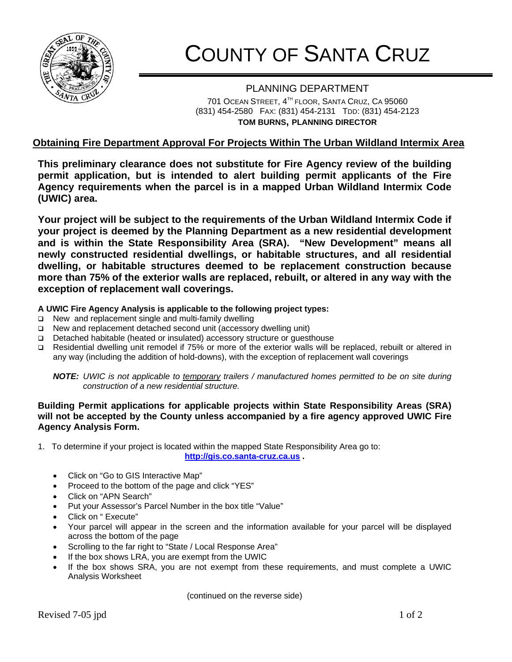

## COUNTY OF SANTA CRUZ

PLANNING DEPARTMENT 701 OCEAN STREET, 4TH FLOOR, SANTA CRUZ, CA 95060 (831) 454-2580 FAX: (831) 454-2131 TDD: (831) 454-2123 **TOM BURNS, PLANNING DIRECTOR**

## **Obtaining Fire Department Approval For Projects Within The Urban Wildland Intermix Area**

**This preliminary clearance does not substitute for Fire Agency review of the building permit application, but is intended to alert building permit applicants of the Fire Agency requirements when the parcel is in a mapped Urban Wildland Intermix Code (UWIC) area.** 

**Your project will be subject to the requirements of the Urban Wildland Intermix Code if your project is deemed by the Planning Department as a new residential development and is within the State Responsibility Area (SRA). "New Development" means all newly constructed residential dwellings, or habitable structures, and all residential dwelling, or habitable structures deemed to be replacement construction because more than 75% of the exterior walls are replaced, rebuilt, or altered in any way with the exception of replacement wall coverings.** 

## **A UWIC Fire Agency Analysis is applicable to the following project types:**

- $\Box$  New and replacement single and multi-family dwelling
- $\Box$  New and replacement detached second unit (accessory dwelling unit)
- Detached habitable (heated or insulated) accessory structure or guesthouse
- Residential dwelling unit remodel if 75% or more of the exterior walls will be replaced, rebuilt or altered in any way (including the addition of hold-downs), with the exception of replacement wall coverings

*NOTE: UWIC is not applicable to temporary trailers / manufactured homes permitted to be on site during construction of a new residential structure.* 

## **Building Permit applications for applicable projects within State Responsibility Areas (SRA) will not be accepted by the County unless accompanied by a fire agency approved UWIC Fire Agency Analysis Form.**

1. To determine if your project is located within the mapped State Responsibility Area go to:

**[http://gis.co.santa-cruz.ca.us](http://gis.co.santa-cruz.ca.us/) .** 

- Click on "Go to GIS Interactive Map"
- Proceed to the bottom of the page and click "YES"
- Click on "APN Search"
- Put your Assessor's Parcel Number in the box title "Value"
- Click on " Execute"
- Your parcel will appear in the screen and the information available for your parcel will be displayed across the bottom of the page
- Scrolling to the far right to "State / Local Response Area"
- If the box shows LRA, you are exempt from the UWIC
- If the box shows SRA, you are not exempt from these requirements, and must complete a UWIC Analysis Worksheet

(continued on the reverse side)